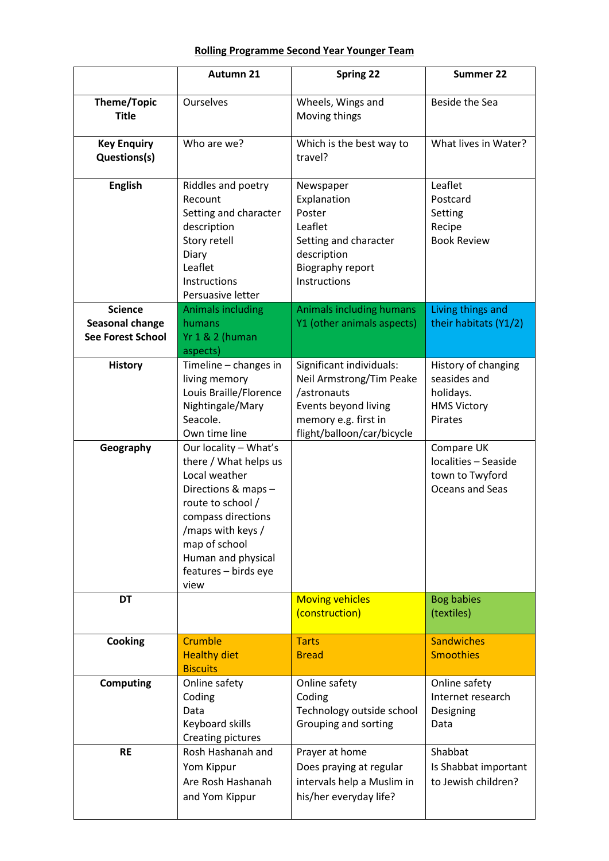## **Rolling Programme Second Year Younger Team**

|                                                    | Autumn 21                                                                                                                                                                                                                     | <b>Spring 22</b>                                                                                                                                  | Summer 22                                                                         |
|----------------------------------------------------|-------------------------------------------------------------------------------------------------------------------------------------------------------------------------------------------------------------------------------|---------------------------------------------------------------------------------------------------------------------------------------------------|-----------------------------------------------------------------------------------|
| Theme/Topic<br><b>Title</b>                        | Ourselves                                                                                                                                                                                                                     | Wheels, Wings and<br>Moving things                                                                                                                | Beside the Sea                                                                    |
| <b>Key Enquiry</b><br>Questions(s)                 | Who are we?                                                                                                                                                                                                                   | Which is the best way to<br>travel?                                                                                                               | What lives in Water?                                                              |
| <b>English</b>                                     | Riddles and poetry<br>Recount<br>Setting and character<br>description<br>Story retell<br>Diary<br>Leaflet<br>Instructions<br>Persuasive letter                                                                                | Newspaper<br>Explanation<br>Poster<br>Leaflet<br>Setting and character<br>description<br>Biography report<br>Instructions                         | Leaflet<br>Postcard<br>Setting<br>Recipe<br><b>Book Review</b>                    |
| <b>Science</b>                                     | <b>Animals including</b>                                                                                                                                                                                                      | <b>Animals including humans</b>                                                                                                                   | Living things and                                                                 |
| <b>Seasonal change</b><br><b>See Forest School</b> | humans<br><b>Yr 1 &amp; 2 (human</b><br>aspects)                                                                                                                                                                              | Y1 (other animals aspects)                                                                                                                        | their habitats (Y1/2)                                                             |
| <b>History</b>                                     | Timeline - changes in<br>living memory<br>Louis Braille/Florence<br>Nightingale/Mary<br>Seacole.<br>Own time line                                                                                                             | Significant individuals:<br>Neil Armstrong/Tim Peake<br>/astronauts<br>Events beyond living<br>memory e.g. first in<br>flight/balloon/car/bicycle | History of changing<br>seasides and<br>holidays.<br><b>HMS Victory</b><br>Pirates |
| Geography                                          | Our locality - What's<br>there / What helps us<br>Local weather<br>Directions & maps -<br>route to school /<br>compass directions<br>/maps with keys /<br>map of school<br>Human and physical<br>features - birds eye<br>view |                                                                                                                                                   | Compare UK<br>localities - Seaside<br>town to Twyford<br>Oceans and Seas          |
| <b>DT</b>                                          |                                                                                                                                                                                                                               | <b>Moving vehicles</b><br>(construction)                                                                                                          | <b>Bog babies</b><br>(textiles)                                                   |
| Cooking                                            | Crumble<br><b>Healthy diet</b><br><b>Biscuits</b>                                                                                                                                                                             | <b>Tarts</b><br><b>Bread</b>                                                                                                                      | <b>Sandwiches</b><br><b>Smoothies</b>                                             |
| <b>Computing</b>                                   | Online safety<br>Coding<br>Data<br>Keyboard skills<br><b>Creating pictures</b>                                                                                                                                                | Online safety<br>Coding<br>Technology outside school<br>Grouping and sorting                                                                      | Online safety<br>Internet research<br>Designing<br>Data                           |
| <b>RE</b>                                          | Rosh Hashanah and<br>Yom Kippur<br>Are Rosh Hashanah<br>and Yom Kippur                                                                                                                                                        | Prayer at home<br>Does praying at regular<br>intervals help a Muslim in<br>his/her everyday life?                                                 | Shabbat<br>Is Shabbat important<br>to Jewish children?                            |